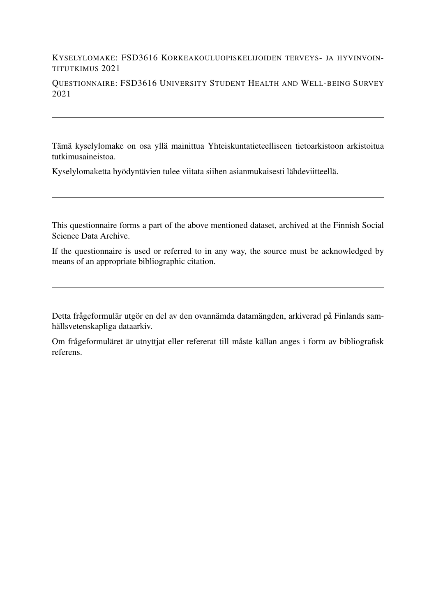### KYSELYLOMAKE: FSD3616 KORKEAKOULUOPISKELIJOIDEN TERVEYS- JA HYVINVOIN-TITUTKIMUS 2021

QUESTIONNAIRE: FSD3616 UNIVERSITY STUDENT HEALTH AND WELL-BEING SURVEY 2021

Tämä kyselylomake on osa yllä mainittua Yhteiskuntatieteelliseen tietoarkistoon arkistoitua tutkimusaineistoa.

Kyselylomaketta hyödyntävien tulee viitata siihen asianmukaisesti lähdeviitteellä.

This questionnaire forms a part of the above mentioned dataset, archived at the Finnish Social Science Data Archive.

If the questionnaire is used or referred to in any way, the source must be acknowledged by means of an appropriate bibliographic citation.

Detta frågeformulär utgör en del av den ovannämda datamängden, arkiverad på Finlands samhällsvetenskapliga dataarkiv.

Om frågeformuläret är utnyttjat eller refererat till måste källan anges i form av bibliografisk referens.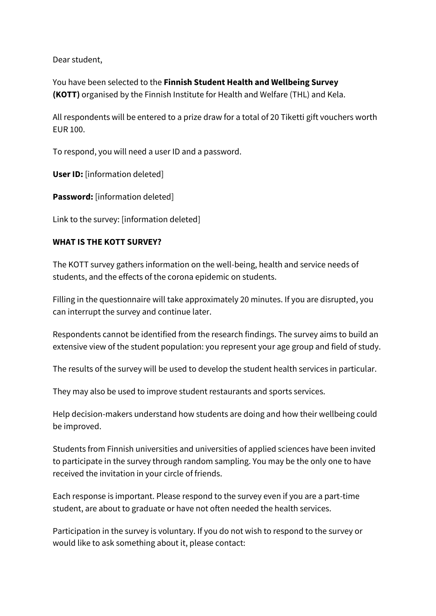Dear student,

You have been selected to the **Finnish Student Health and Wellbeing Survey (KOTT)** organised by the Finnish Institute for Health and Welfare (THL) and Kela.

All respondents will be entered to a prize draw for a total of 20 Tiketti gift vouchers worth EUR 100.

To respond, you will need a user ID and a password.

**User ID:** [information deleted]

**Password:** [information deleted]

Link to the survey: [information deleted]

### **WHAT IS THE KOTT SURVEY?**

The KOTT survey gathers information on the well-being, health and service needs of students, and the effects of the corona epidemic on students.

Filling in the questionnaire will take approximately 20 minutes. If you are disrupted, you can interrupt the survey and continue later.

Respondents cannot be identified from the research findings. The survey aims to build an extensive view of the student population: you represent your age group and field of study.

The results of the survey will be used to develop the student health services in particular.

They may also be used to improve student restaurants and sports services.

Help decision-makers understand how students are doing and how their wellbeing could be improved.

Students from Finnish universities and universities of applied sciences have been invited to participate in the survey through random sampling. You may be the only one to have received the invitation in your circle of friends.

Each response is important. Please respond to the survey even if you are a part-time student, are about to graduate or have not often needed the health services.

Participation in the survey is voluntary. If you do not wish to respond to the survey or would like to ask something about it, please contact: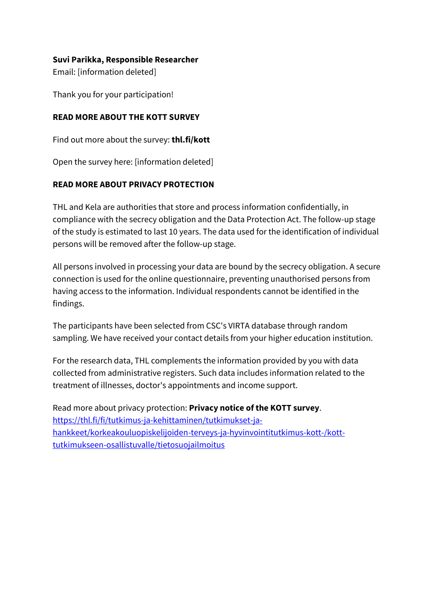### **Suvi Parikka, Responsible Researcher**

Email: [information deleted]

Thank you for your participation!

### **READ MORE ABOUT THE KOTT SURVEY**

Find out more about the survey: **[thl.fi/kott](https://thl.fi/kott)**

Open the survey here: [information deleted]

### **READ MORE ABOUT PRIVACY PROTECTION**

THL and Kela are authorities that store and process information confidentially, in compliance with the secrecy obligation and the Data Protection Act. The follow-up stage of the study is estimated to last 10 years. The data used for the identification of individual persons will be removed after the follow-up stage.

All persons involved in processing your data are bound by the secrecy obligation. A secure connection is used for the online questionnaire, preventing unauthorised persons from having access to the information. Individual respondents cannot be identified in the findings.

The participants have been selected from CSC's VIRTA database through random sampling. We have received your contact details from your higher education institution.

For the research data, THL complements the information provided by you with data collected from administrative registers. Such data includes information related to the treatment of illnesses, doctor's appointments and income support.

Read more about privacy protection: **[Privacy notice of the KOTT survey](https://thl.fi/en/web/thlfi-en/research-and-expertwork/population-studies/the-finnish-student-health-and-wellbeing-survey-kott-/for-kott-survey-participants/privacy-notice)**. [https://thl.fi/fi/tutkimus-ja-kehittaminen/tutkimukset-ja](https://thl.fi/fi/tutkimus-ja-kehittaminen/tutkimukset-ja-hankkeet/korkeakouluopiskelijoiden-terveys-ja-hyvinvointitutkimus-kott-/kott-tutkimukseen-osallistuvalle/tietosuojailmoitus)[hankkeet/korkeakouluopiskelijoiden-terveys-ja-hyvinvointitutkimus-kott-/kott](https://thl.fi/fi/tutkimus-ja-kehittaminen/tutkimukset-ja-hankkeet/korkeakouluopiskelijoiden-terveys-ja-hyvinvointitutkimus-kott-/kott-tutkimukseen-osallistuvalle/tietosuojailmoitus)[tutkimukseen-osallistuvalle/tietosuojailmoitus](https://thl.fi/fi/tutkimus-ja-kehittaminen/tutkimukset-ja-hankkeet/korkeakouluopiskelijoiden-terveys-ja-hyvinvointitutkimus-kott-/kott-tutkimukseen-osallistuvalle/tietosuojailmoitus)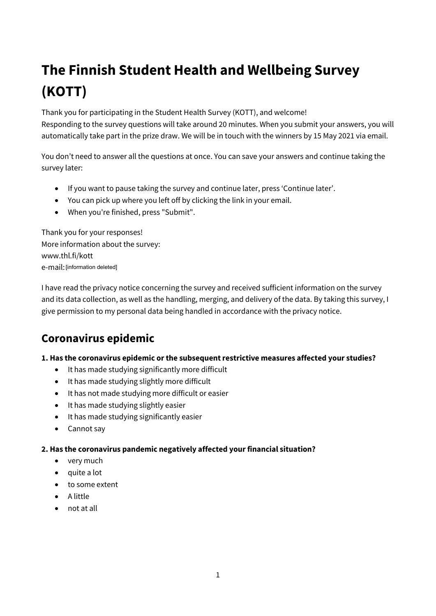# **The Finnish Student Health and Wellbeing Survey (KOTT)**

Thank you for participating in the Student Health Survey (KOTT), and welcome! Responding to the survey questions will take around 20 minutes. When you submit your answers, you will automatically take part in the prize draw. We will be in touch with the winners by 15 May 2021 via email.

You don't need to answer all the questions at once. You can save your answers and continue taking the survey later:

- If you want to pause taking the survey and continue later, press 'Continue later'.
- You can pick up where you left off by clicking the link in your email.
- When you're finished, press "Submit".

Thank you for your responses! More information about the survey: www.thl.fi/kott e-mail: [information deleted]

I have read the privacy notice concerning the survey and received sufficient information on the survey and its data collection, as well as the handling, merging, and delivery of the data. By taking this survey, I give permission to my personal data being handled in accordance with the privacy notice.

## **Coronavirus epidemic**

### **1. Has the coronavirus epidemic or the subsequent restrictive measures affected your studies?**

- It has made studying significantly more difficult
- It has made studying slightly more difficult
- It has not made studying more difficult or easier
- It has made studying slightly easier
- It has made studying significantly easier
- Cannot say

### **2. Has the coronavirus pandemic negatively affected your financial situation?**

- very much
- quite a lot
- to some extent
- A little
- not at all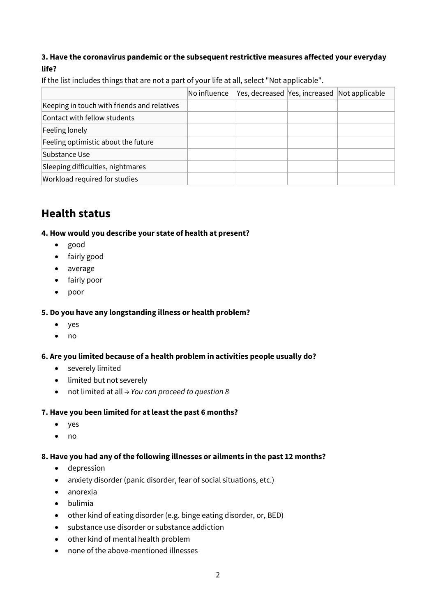### **3. Have the coronavirus pandemic or the subsequent restrictive measures affected your everyday life?**

If the list includes things that are not a part of your life at all, select "Not applicable".

|                                             | No influence | Yes, decreased Yes, increased Not applicable |  |
|---------------------------------------------|--------------|----------------------------------------------|--|
| Keeping in touch with friends and relatives |              |                                              |  |
| Contact with fellow students                |              |                                              |  |
| Feeling lonely                              |              |                                              |  |
| Feeling optimistic about the future         |              |                                              |  |
| Substance Use                               |              |                                              |  |
| Sleeping difficulties, nightmares           |              |                                              |  |
| Workload required for studies               |              |                                              |  |

## **Health status**

### **4. How would you describe your state of health at present?**

- good
- fairly good
- average
- fairly poor
- poor

### **5. Do you have any longstanding illness or health problem?**

- yes
- no

### **6. Are you limited because of a health problem in activities people usually do?**

- severely limited
- limited but not severely
- not limited at all *→ You can proceed to question 8*

### **7. Have you been limited for at least the past 6 months?**

- yes
- no

### **8. Have you had any of the following illnesses or ailments in the past 12 months?**

- depression
- anxiety disorder (panic disorder, fear of social situations, etc.)
- anorexia
- bulimia
- other kind of eating disorder (e.g. binge eating disorder, or, BED)
- substance use disorder or substance addiction
- other kind of mental health problem
- none of the above-mentioned illnesses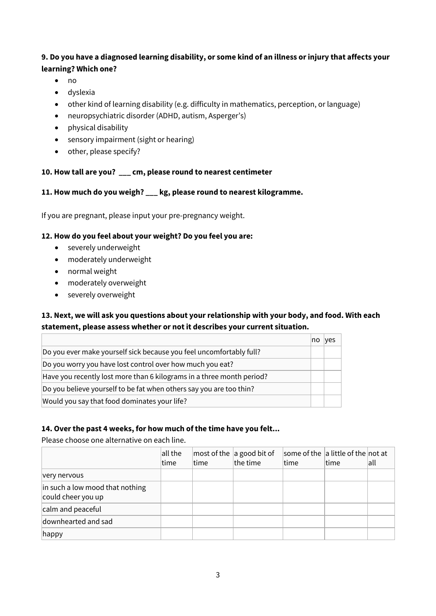### **9. Do you have a diagnosed learning disability, or some kind of an illness or injury that affects your learning? Which one?**

- no
- dyslexia
- other kind of learning disability (e.g. difficulty in mathematics, perception, or language)
- neuropsychiatric disorder (ADHD, autism, Asperger's)
- physical disability
- sensory impairment (sight or hearing)
- other, please specify?

### **10. How tall are you? \_\_\_ cm, please round to nearest centimeter**

### **11. How much do you weigh? \_\_\_ kg, please round to nearest kilogramme.**

If you are pregnant, please input your pre-pregnancy weight.

### **12. How do you feel about your weight? Do you feel you are:**

- severely underweight
- moderately underweight
- normal weight
- moderately overweight
- severely overweight

### **13. Next, we will ask you questions about your relationship with your body, and food. With each statement, please assess whether or not it describes your current situation.**

|                                                                       | no | yes |
|-----------------------------------------------------------------------|----|-----|
| Do you ever make yourself sick because you feel uncomfortably full?   |    |     |
| Do you worry you have lost control over how much you eat?             |    |     |
| Have you recently lost more than 6 kilograms in a three month period? |    |     |
| Do you believe yourself to be fat when others say you are too thin?   |    |     |
| Would you say that food dominates your life?                          |    |     |

### **14. Over the past 4 weeks, for how much of the time have you felt...**

Please choose one alternative on each line.

|                                                       | all the<br>time | time | most of the $ a $ good bit of<br>the time | time | some of the a little of the not at<br>time | all |
|-------------------------------------------------------|-----------------|------|-------------------------------------------|------|--------------------------------------------|-----|
| very nervous                                          |                 |      |                                           |      |                                            |     |
| in such a low mood that nothing<br>could cheer you up |                 |      |                                           |      |                                            |     |
| calm and peaceful                                     |                 |      |                                           |      |                                            |     |
| downhearted and sad                                   |                 |      |                                           |      |                                            |     |
| $ $ happy                                             |                 |      |                                           |      |                                            |     |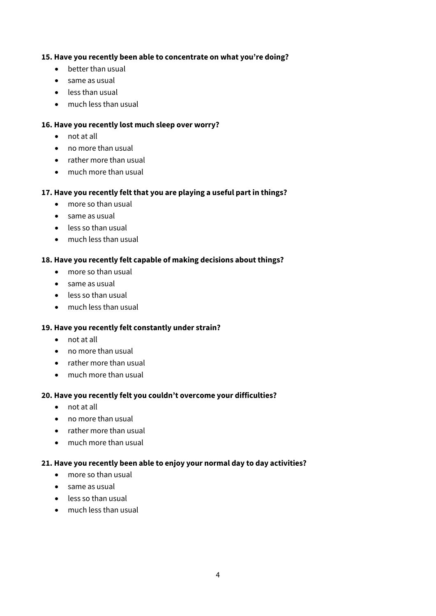### **15. Have you recently been able to concentrate on what you're doing?**

- better than usual
- same as usual
- less than usual
- much less than usual

### **16. Have you recently lost much sleep over worry?**

- not at all
- no more than usual
- rather more than usual
- much more than usual

### **17. Have you recently felt that you are playing a useful part in things?**

- more so than usual
- same as usual
- less so than usual
- much less than usual

### **18. Have you recently felt capable of making decisions about things?**

- more so than usual
- same as usual
- less so than usual
- much less than usual

### **19. Have you recently felt constantly under strain?**

- not at all
- no more than usual
- rather more than usual
- much more than usual

### **20. Have you recently felt you couldn't overcome your difficulties?**

- not at all
- no more than usual
- rather more than usual
- much more than usual

### **21. Have you recently been able to enjoy your normal day to day activities?**

- more so than usual
- same as usual
- less so than usual
- much less than usual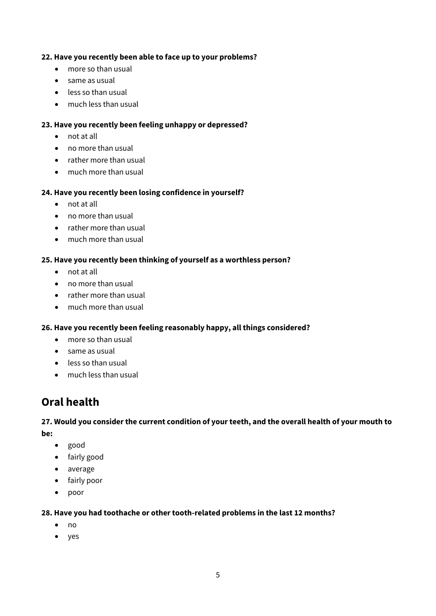### **22. Have you recently been able to face up to your problems?**

- more so than usual
- same as usual
- less so than usual
- much less than usual

### **23. Have you recently been feeling unhappy or depressed?**

- not at all
- no more than usual
- rather more than usual
- much more than usual

### **24. Have you recently been losing confidence in yourself?**

- not at all
- no more than usual
- rather more than usual
- much more than usual

### **25. Have you recently been thinking of yourself as a worthless person?**

- not at all
- no more than usual
- rather more than usual
- much more than usual

### **26. Have you recently been feeling reasonably happy, all things considered?**

- more so than usual
- same as usual
- less so than usual
- much less than usual

## **Oral health**

### **27. Would you consider the current condition of your teeth, and the overall health of your mouth to be:**

- good
- fairly good
- average
- fairly poor
- poor

### **28. Have you had toothache or other tooth-related problems in the last 12 months?**

- no
- yes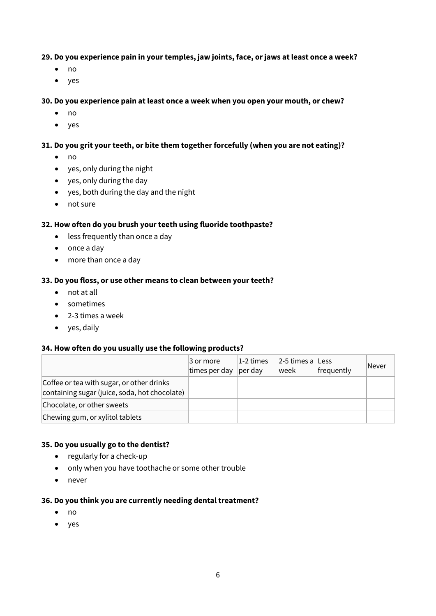### **29. Do you experience pain in your temples, jaw joints, face, or jaws at least once a week?**

- no
- yes

### **30. Do you experience pain at least once a week when you open your mouth, or chew?**

- no
- yes

### **31. Do you grit your teeth, or bite them together forcefully (when you are not eating)?**

- no
- yes, only during the night
- yes, only during the day
- yes, both during the day and the night
- not sure

### **32. How often do you brush your teeth using fluoride toothpaste?**

- less frequently than once a day
- once a day
- more than once a day

#### **33. Do you floss, or use other means to clean between your teeth?**

- not at all
- sometimes
- 2-3 times a week
- yes, daily

#### **34. How often do you usually use the following products?**

|                                                                                            | 3 or more<br>times per day | 1-2 times<br> per day | $ 2-5$ times a Less<br>lweek | frequently | Never |
|--------------------------------------------------------------------------------------------|----------------------------|-----------------------|------------------------------|------------|-------|
| Coffee or tea with sugar, or other drinks<br>containing sugar (juice, soda, hot chocolate) |                            |                       |                              |            |       |
| Chocolate, or other sweets                                                                 |                            |                       |                              |            |       |
| Chewing gum, or xylitol tablets                                                            |                            |                       |                              |            |       |

### **35. Do you usually go to the dentist?**

- regularly for a check-up
- only when you have toothache or some other trouble
- never

#### **36. Do you think you are currently needing dental treatment?**

- no
- yes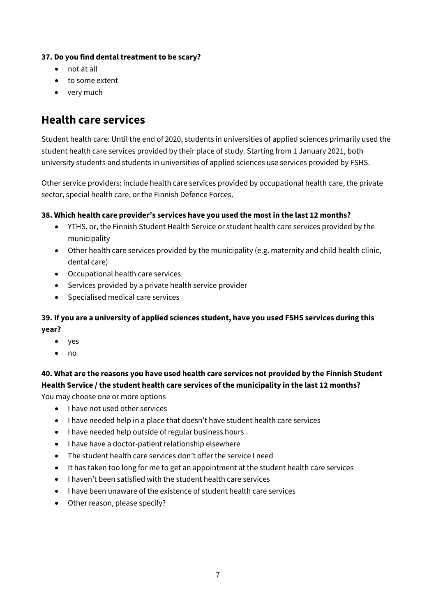### **37. Do you find dental treatment to be scary?**

- not at all
- to some extent
- very much

## **Health care services**

Student health care: Until the end of 2020, students in universities of applied sciences primarily used the student health care services provided by their place of study. Starting from 1 January 2021, both university students and students in universities of applied sciences use services provided by FSHS.

Other service providers: include health care services provided by occupational health care, the private sector, special health care, or the Finnish Defence Forces.

### **38. Which health care provider's services have you used the most in the last 12 months?**

- YTHS, or, the Finnish Student Health Service or student health care services provided by the municipality
- Other health care services provided by the municipality (e.g. maternity and child health clinic, dental care)
- Occupational health care services
- Services provided by a private health service provider
- Specialised medical care services

### **39. If you are a university of applied sciences student, have you used FSHS services during this year?**

- yes
- no

## **40. What are the reasons you have used health care services not provided by the Finnish Student Health Service / the student health care services of the municipality in the last 12 months?**

You may choose one or more options

- I have not used other services
- I have needed help in a place that doesn't have student health care services
- I have needed help outside of regular business hours
- I have have a doctor-patient relationship elsewhere
- The student health care services don't offer the service I need
- It has taken too long for me to get an appointment at the student health care services
- I haven't been satisfied with the student health care services
- I have been unaware of the existence of student health care services
- Other reason, please specify?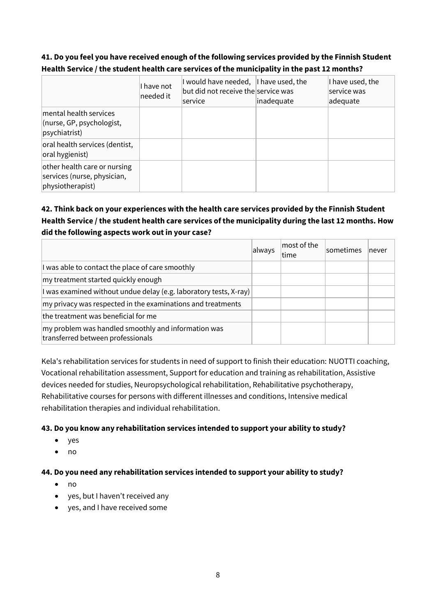### **41. Do you feel you have received enough of the following services provided by the Finnish Student Health Service / the student health care services of the municipality in the past 12 months?**

|                                                                                 | I have not<br>needed it | I would have needed, I have used, the<br>but did not receive the service was<br>lservice | inadequate | I have used, the<br>service was<br>adequate |
|---------------------------------------------------------------------------------|-------------------------|------------------------------------------------------------------------------------------|------------|---------------------------------------------|
| mental health services<br>(nurse, GP, psychologist,<br>psychiatrist)            |                         |                                                                                          |            |                                             |
| oral health services (dentist,<br>oral hygienist)                               |                         |                                                                                          |            |                                             |
| other health care or nursing<br>services (nurse, physician,<br>physiotherapist) |                         |                                                                                          |            |                                             |

### **42. Think back on your experiences with the health care services provided by the Finnish Student Health Service / the student health care services of the municipality during the last 12 months. How did the following aspects work out in your case?**

|                                                                                          | always | most of the<br>ltime | <b>sometimes</b> | Inever |
|------------------------------------------------------------------------------------------|--------|----------------------|------------------|--------|
| I was able to contact the place of care smoothly                                         |        |                      |                  |        |
| my treatment started quickly enough                                                      |        |                      |                  |        |
| I was examined without undue delay (e.g. laboratory tests, X-ray)                        |        |                      |                  |        |
| my privacy was respected in the examinations and treatments                              |        |                      |                  |        |
| the treatment was beneficial for me                                                      |        |                      |                  |        |
| my problem was handled smoothly and information was<br>transferred between professionals |        |                      |                  |        |

Kela's rehabilitation services for students in need of support to finish their education: NUOTTI coaching, Vocational rehabilitation assessment, Support for education and training as rehabilitation, Assistive devices needed for studies, Neuropsychological rehabilitation, Rehabilitative psychotherapy, Rehabilitative courses for persons with different illnesses and conditions, Intensive medical rehabilitation therapies and individual rehabilitation.

### **43. Do you know any rehabilitation services intended to support your ability to study?**

- yes
- no

### **44. Do you need any rehabilitation services intended to support your ability to study?**

- no
- yes, but I haven't received any
- yes, and I have received some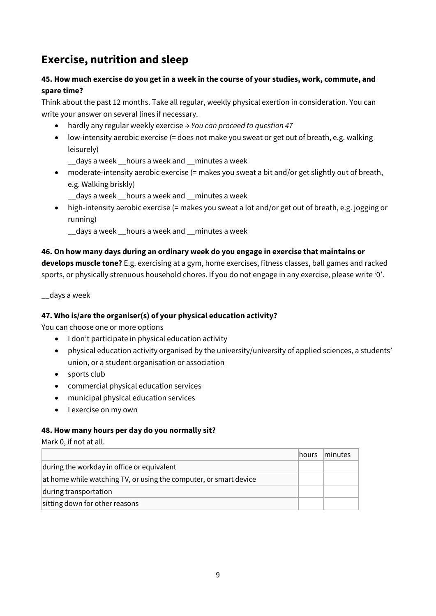## **Exercise, nutrition and sleep**

### **45. How much exercise do you get in a week in the course of your studies, work, commute, and spare time?**

Think about the past 12 months. Take all regular, weekly physical exertion in consideration. You can write your answer on several lines if necessary.

- hardly any regular weekly exercise *→ You can proceed to question 47*
- low-intensity aerobic exercise (= does not make you sweat or get out of breath, e.g. walking leisurely)

\_\_days a week \_\_hours a week and \_\_minutes a week

• moderate-intensity aerobic exercise (= makes you sweat a bit and/or get slightly out of breath, e.g. Walking briskly)

\_\_days a week \_\_hours a week and \_\_minutes a week

• high-intensity aerobic exercise (= makes you sweat a lot and/or get out of breath, e.g. jogging or running)

\_\_days a week \_\_hours a week and \_\_minutes a week

### **46. On how many days during an ordinary week do you engage in exercise that maintains or**

**develops muscle tone?** E.g. exercising at a gym, home exercises, fitness classes, ball games and racked sports, or physically strenuous household chores. If you do not engage in any exercise, please write '0'.

\_\_days a week

### **47. Who is/are the organiser(s) of your physical education activity?**

You can choose one or more options

- I don't participate in physical education activity
- physical education activity organised by the university/university of applied sciences, a students' union, or a student organisation or association
- sports club
- commercial physical education services
- municipal physical education services
- I exercise on my own

### **48. How many hours per day do you normally sit?**

Mark 0, if not at all.

|                                                                   | hours | minutes |
|-------------------------------------------------------------------|-------|---------|
| during the workday in office or equivalent                        |       |         |
| at home while watching TV, or using the computer, or smart device |       |         |
| during transportation                                             |       |         |
| sitting down for other reasons                                    |       |         |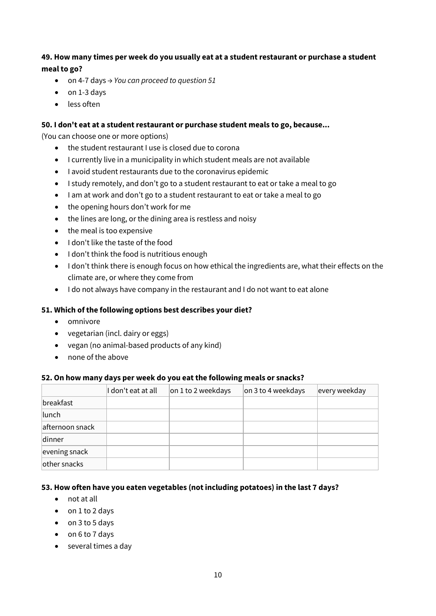### **49. How many times per week do you usually eat at a student restaurant or purchase a student meal to go?**

- on 4-7 days *→ You can proceed to question 51*
- on 1-3 days
- less often

### **50. I don't eat at a student restaurant or purchase student meals to go, because...**

(You can choose one or more options)

- the student restaurant I use is closed due to corona
- I currently live in a municipality in which student meals are not available
- I avoid student restaurants due to the coronavirus epidemic
- I study remotely, and don't go to a student restaurant to eat or take a meal to go
- I am at work and don't go to a student restaurant to eat or take a meal to go
- the opening hours don't work for me
- the lines are long, or the dining area is restless and noisy
- the meal is too expensive
- I don't like the taste of the food
- I don't think the food is nutritious enough
- I don't think there is enough focus on how ethical the ingredients are, what their effects on the climate are, or where they come from
- I do not always have company in the restaurant and I do not want to eat alone

### **51. Which of the following options best describes your diet?**

- omnivore
- vegetarian (incl. dairy or eggs)
- vegan (no animal-based products of any kind)
- none of the above

### **52. On how many days per week do you eat the following meals or snacks?**

|                 | I don't eat at all | on 1 to 2 weekdays | on 3 to 4 weekdays | every weekday |
|-----------------|--------------------|--------------------|--------------------|---------------|
| breakfast       |                    |                    |                    |               |
| lunch           |                    |                    |                    |               |
| afternoon snack |                    |                    |                    |               |
| dinner          |                    |                    |                    |               |
| evening snack   |                    |                    |                    |               |
| other snacks    |                    |                    |                    |               |

### **53. How often have you eaten vegetables (not including potatoes) in the last 7 days?**

- not at all
- on 1 to 2 days
- on 3 to 5 days
- on 6 to 7 days
- several times a day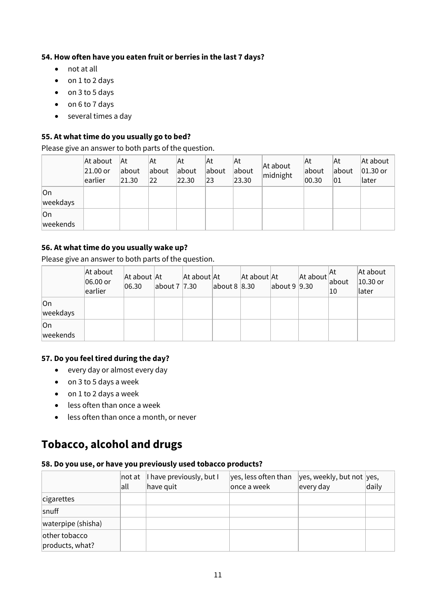### **54. How often have you eaten fruit or berries in the last 7 days?**

- not at all
- on 1 to 2 days
- on 3 to 5 days
- on 6 to 7 days
- several times a day

### **55. At what time do you usually go to bed?**

Please give an answer to both parts of the question.

|                 | At about<br>21.00 or<br>earlier | <b>At</b><br>about<br>21.30 | At<br>about<br>$ 22\rangle$ | At<br>about<br>22.30 | At<br>about<br>$ 23\rangle$ | At<br>about<br>23.30 | At about<br>midnight | lAt<br>about<br>00.30 | ΙAt<br>about<br>01 | At about<br>$ 01.30$ or<br>later |
|-----------------|---------------------------------|-----------------------------|-----------------------------|----------------------|-----------------------------|----------------------|----------------------|-----------------------|--------------------|----------------------------------|
| On<br>weekdays  |                                 |                             |                             |                      |                             |                      |                      |                       |                    |                                  |
| lOn<br>weekends |                                 |                             |                             |                      |                             |                      |                      |                       |                    |                                  |

### **56. At what time do you usually wake up?**

Please give an answer to both parts of the question.

|                 | At about<br>$ 06.00$ or<br>earlier | At about At<br> 06.30 | about 7 7.30 | At about At | about $8 8.30$ | At about At | about $9 9.30$ | $ $ At about $ $ about | ∣At<br>10 | At about<br>$ 10.30$ or<br>later |
|-----------------|------------------------------------|-----------------------|--------------|-------------|----------------|-------------|----------------|------------------------|-----------|----------------------------------|
| lOn<br>weekdays |                                    |                       |              |             |                |             |                |                        |           |                                  |
| lOn<br>weekends |                                    |                       |              |             |                |             |                |                        |           |                                  |

### **57. Do you feel tired during the day?**

- every day or almost every day
- on 3 to 5 days a week
- on 1 to 2 days a week
- less often than once a week
- less often than once a month, or never

## **Tobacco, alcohol and drugs**

#### **58. Do you use, or have you previously used tobacco products?**

|                                  | $ $ not at<br> all | I have previously, but I<br>have quit | yes, less often than<br>once a week | yes, weekly, but not yes,<br>every day | daily |
|----------------------------------|--------------------|---------------------------------------|-------------------------------------|----------------------------------------|-------|
| cigarettes                       |                    |                                       |                                     |                                        |       |
| snuff                            |                    |                                       |                                     |                                        |       |
| waterpipe (shisha)               |                    |                                       |                                     |                                        |       |
| other tobacco<br>products, what? |                    |                                       |                                     |                                        |       |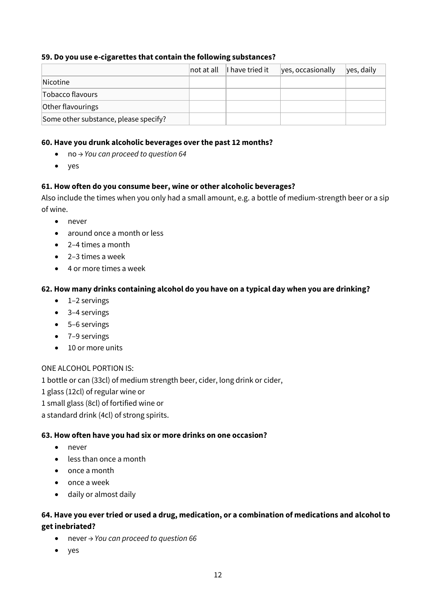### **59. Do you use e-cigarettes that contain the following substances?**

|                                       | ∣not at all | I have tried it | yes, occasionally | yes, daily |
|---------------------------------------|-------------|-----------------|-------------------|------------|
| <i>Nicotine</i>                       |             |                 |                   |            |
| Tobacco flavours                      |             |                 |                   |            |
| Other flavourings                     |             |                 |                   |            |
| Some other substance, please specify? |             |                 |                   |            |

#### **60. Have you drunk alcoholic beverages over the past 12 months?**

- no *→ You can proceed to question 64*
- yes

### **61. How often do you consume beer, wine or other alcoholic beverages?**

Also include the times when you only had a small amount, e.g. a bottle of medium-strength beer or a sip of wine.

- never
- around once a month or less
- 2–4 times a month
- 2–3 times a week
- 4 or more times a week

### **62. How many drinks containing alcohol do you have on a typical day when you are drinking?**

- 1–2 servings
- 3–4 servings
- 5–6 servings
- 7–9 servings
- 10 or more units

### ONE ALCOHOL PORTION IS:

1 bottle or can (33cl) of medium strength beer, cider, long drink or cider, 1 glass (12cl) of regular wine or 1 small glass (8cl) of fortified wine or a standard drink (4cl) of strong spirits.

### **63. How often have you had six or more drinks on one occasion?**

- never
- less than once a month
- once a month
- once a week
- daily or almost daily

### **64. Have you ever tried or used a drug, medication, or a combination of medications and alcohol to get inebriated?**

- never *→ You can proceed to question 66*
- yes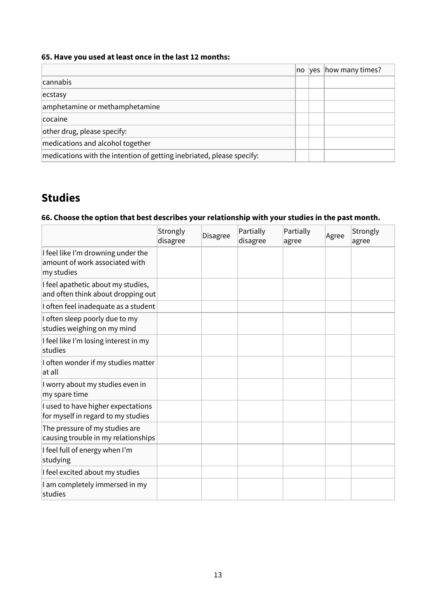### **65. Have you used at least once in the last 12 months:**

|                                                                       | no | <b>Ves</b> | how many times? |
|-----------------------------------------------------------------------|----|------------|-----------------|
| cannabis                                                              |    |            |                 |
| ecstasy                                                               |    |            |                 |
| amphetamine or methamphetamine                                        |    |            |                 |
| cocaine                                                               |    |            |                 |
| other drug, please specify:                                           |    |            |                 |
| medications and alcohol together                                      |    |            |                 |
| medications with the intention of getting inebriated, please specify: |    |            |                 |

## **Studies**

### **66. Choose the option that best describes your relationship with your studies in the past month.**

|                                                                                    | Strongly<br>disagree | <b>Disagree</b> | Partially<br>disagree | Partially<br>agree | Agree | Strongly<br>agree |
|------------------------------------------------------------------------------------|----------------------|-----------------|-----------------------|--------------------|-------|-------------------|
| I feel like I'm drowning under the<br>amount of work associated with<br>my studies |                      |                 |                       |                    |       |                   |
| I feel apathetic about my studies,<br>and often think about dropping out           |                      |                 |                       |                    |       |                   |
| I often feel inadequate as a student                                               |                      |                 |                       |                    |       |                   |
| I often sleep poorly due to my<br>studies weighing on my mind                      |                      |                 |                       |                    |       |                   |
| I feel like I'm losing interest in my<br>studies                                   |                      |                 |                       |                    |       |                   |
| I often wonder if my studies matter<br>lat all                                     |                      |                 |                       |                    |       |                   |
| I worry about my studies even in<br>my spare time                                  |                      |                 |                       |                    |       |                   |
| I used to have higher expectations<br>for myself in regard to my studies           |                      |                 |                       |                    |       |                   |
| The pressure of my studies are<br>causing trouble in my relationships              |                      |                 |                       |                    |       |                   |
| I feel full of energy when I'm<br>studying                                         |                      |                 |                       |                    |       |                   |
| I feel excited about my studies                                                    |                      |                 |                       |                    |       |                   |
| I am completely immersed in my<br>studies                                          |                      |                 |                       |                    |       |                   |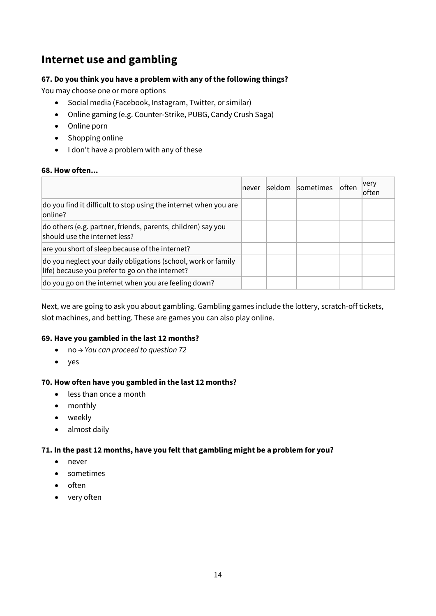## **Internet use and gambling**

### **67. Do you think you have a problem with any of the following things?**

You may choose one or more options

- Social media (Facebook, Instagram, Twitter, or similar)
- Online gaming (e.g. Counter-Strike, PUBG, Candy Crush Saga)
- Online porn
- Shopping online
- I don't have a problem with any of these

#### **68. How often...**

|                                                                                                                  | Inever | seldom sometimes | ∣often | very<br>ofter |
|------------------------------------------------------------------------------------------------------------------|--------|------------------|--------|---------------|
| do you find it difficult to stop using the internet when you are<br>lonline?                                     |        |                  |        |               |
| do others (e.g. partner, friends, parents, children) say you<br>should use the internet less?                    |        |                  |        |               |
| are you short of sleep because of the internet?                                                                  |        |                  |        |               |
| do you neglect your daily obligations (school, work or family<br>life) because you prefer to go on the internet? |        |                  |        |               |
| do you go on the internet when you are feeling down?                                                             |        |                  |        |               |

Next, we are going to ask you about gambling. Gambling games include the lottery, scratch-off tickets, slot machines, and betting. These are games you can also play online.

### **69. Have you gambled in the last 12 months?**

- no *→ You can proceed to question 72*
- yes

### **70. How often have you gambled in the last 12 months?**

- less than once a month
- monthly
- weekly
- almost daily

### **71. In the past 12 months, have you felt that gambling might be a problem for you?**

- never
- sometimes
- often
- very often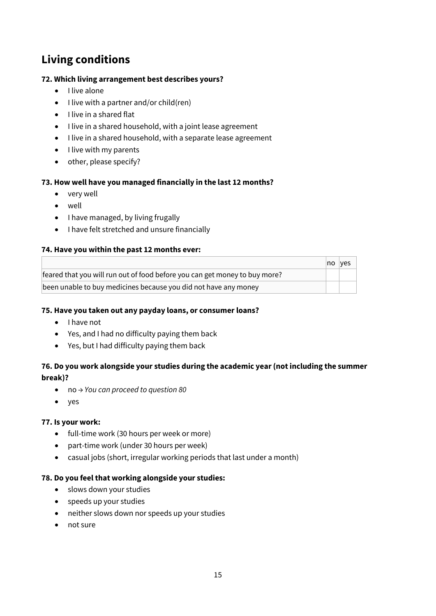## **Living conditions**

### **72. Which living arrangement best describes yours?**

- I live alone
- I live with a partner and/or child(ren)
- I live in a shared flat
- I live in a shared household, with a joint lease agreement
- I live in a shared household, with a separate lease agreement
- I live with my parents
- other, please specify?

### **73. How well have you managed financially in the last 12 months?**

- very well
- well
- I have managed, by living frugally
- I have felt stretched and unsure financially

### **74. Have you within the past 12 months ever:**

|                                                                            | no. | ves |
|----------------------------------------------------------------------------|-----|-----|
| feared that you will run out of food before you can get money to buy more? |     |     |
| been unable to buy medicines because you did not have any money            |     |     |

### **75. Have you taken out any payday loans, or consumer loans?**

- I have not
- Yes, and I had no difficulty paying them back
- Yes, but I had difficulty paying them back

### **76. Do you work alongside your studies during the academic year (not including the summer break)?**

- no *→ You can proceed to question 80*
- yes

### **77. Is your work:**

- full-time work (30 hours per week or more)
- part-time work (under 30 hours per week)
- casual jobs (short, irregular working periods that last under a month)

### **78. Do you feel that working alongside your studies:**

- slows down your studies
- speeds up your studies
- neither slows down nor speeds up your studies
- not sure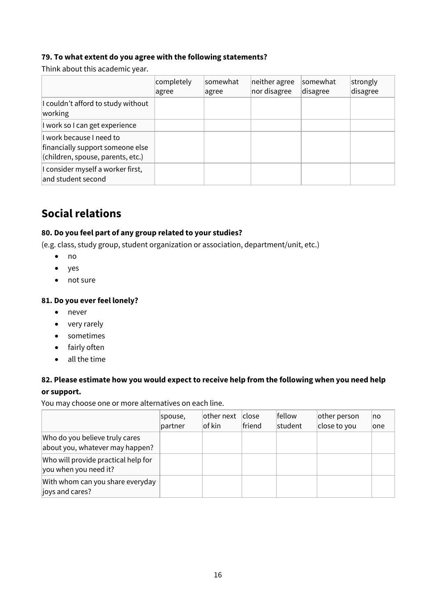### **79. To what extent do you agree with the following statements?**

Think about this academic year.

|                                                                                                   | completely<br>agree | somewhat<br>agree | neither agree<br>nor disagree | <b>somewhat</b><br>disagree | strongly<br>disagree |
|---------------------------------------------------------------------------------------------------|---------------------|-------------------|-------------------------------|-----------------------------|----------------------|
| I couldn't afford to study without<br>working                                                     |                     |                   |                               |                             |                      |
| I work so I can get experience                                                                    |                     |                   |                               |                             |                      |
| I work because I need to<br>financially support someone else<br>(children, spouse, parents, etc.) |                     |                   |                               |                             |                      |
| I consider myself a worker first,<br>and student second                                           |                     |                   |                               |                             |                      |

## **Social relations**

### **80. Do you feel part of any group related to your studies?**

(e.g. class, study group, student organization or association, department/unit, etc.)

- no
- yes
- not sure

### **81. Do you ever feel lonely?**

- never
- very rarely
- sometimes
- fairly often
- all the time

### **82. Please estimate how you would expect to receive help from the following when you need help or support.**

You may choose one or more alternatives on each line.

|                                                                   | spouse,<br>partner | $ other$ next<br>of kin | <b>close</b><br>friend | fellow<br>student | other person<br>close to you | no<br>lone |
|-------------------------------------------------------------------|--------------------|-------------------------|------------------------|-------------------|------------------------------|------------|
| Who do you believe truly cares<br>about you, whatever may happen? |                    |                         |                        |                   |                              |            |
| Who will provide practical help for<br>you when you need it?      |                    |                         |                        |                   |                              |            |
| With whom can you share everyday<br>joys and cares?               |                    |                         |                        |                   |                              |            |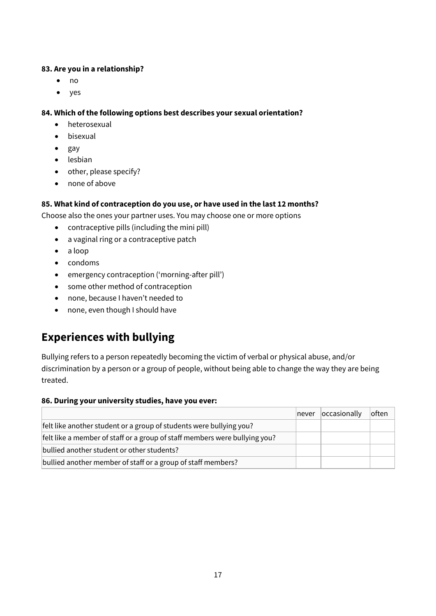### **83. Are you in a relationship?**

- no
- yes

### **84. Which of the following options best describes your sexual orientation?**

- heterosexual
- bisexual
- gay
- lesbian
- other, please specify?
- none of above

### **85. What kind of contraception do you use, or have used in the last 12 months?**

Choose also the ones your partner uses. You may choose one or more options

- contraceptive pills (including the mini pill)
- a vaginal ring or a contraceptive patch
- a loop
- condoms
- emergency contraception ('morning-after pill')
- some other method of contraception
- none, because I haven't needed to
- none, even though I should have

## **Experiences with bullying**

Bullying refers to a person repeatedly becoming the victim of verbal or physical abuse, and/or discrimination by a person or a group of people, without being able to change the way they are being treated.

### **86. During your university studies, have you ever:**

|                                                                            | never | occasionally | loften |
|----------------------------------------------------------------------------|-------|--------------|--------|
| felt like another student or a group of students were bullying you?        |       |              |        |
| felt like a member of staff or a group of staff members were bullying you? |       |              |        |
| bullied another student or other students?                                 |       |              |        |
| bullied another member of staff or a group of staff members?               |       |              |        |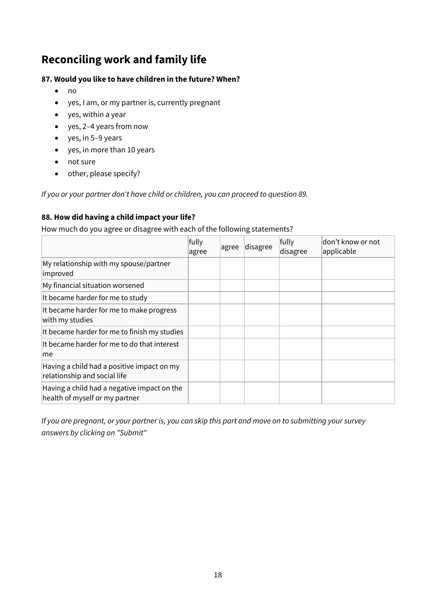## **Reconciling work and family life**

### **87. Would you like to have children in the future? When?**

- no
- yes, I am, or my partner is, currently pregnant
- yes, within a year
- yes, 2–4 years from now
- yes, in 5–9 years
- yes, in more than 10 years
- not sure
- other, please specify?

*If you or your partner don't have child or children, you can proceed to question 89.*

### **88. How did having a child impact your life?**

How much do you agree or disagree with each of the following statements?

|                                                                               | fully<br>agree | agree | disagree | fully<br>disagree | don't know or not<br>applicable |
|-------------------------------------------------------------------------------|----------------|-------|----------|-------------------|---------------------------------|
| My relationship with my spouse/partner<br>improved                            |                |       |          |                   |                                 |
| My financial situation worsened                                               |                |       |          |                   |                                 |
| It became harder for me to study                                              |                |       |          |                   |                                 |
| It became harder for me to make progress<br>with my studies                   |                |       |          |                   |                                 |
| It became harder for me to finish my studies                                  |                |       |          |                   |                                 |
| It became harder for me to do that interest<br>lme                            |                |       |          |                   |                                 |
| Having a child had a positive impact on my<br>relationship and social life    |                |       |          |                   |                                 |
| Having a child had a negative impact on the<br>health of myself or my partner |                |       |          |                   |                                 |

*If you are pregnant, or your partner is, you can skip this part and move on to submitting your survey answers by clicking on "Submit"*